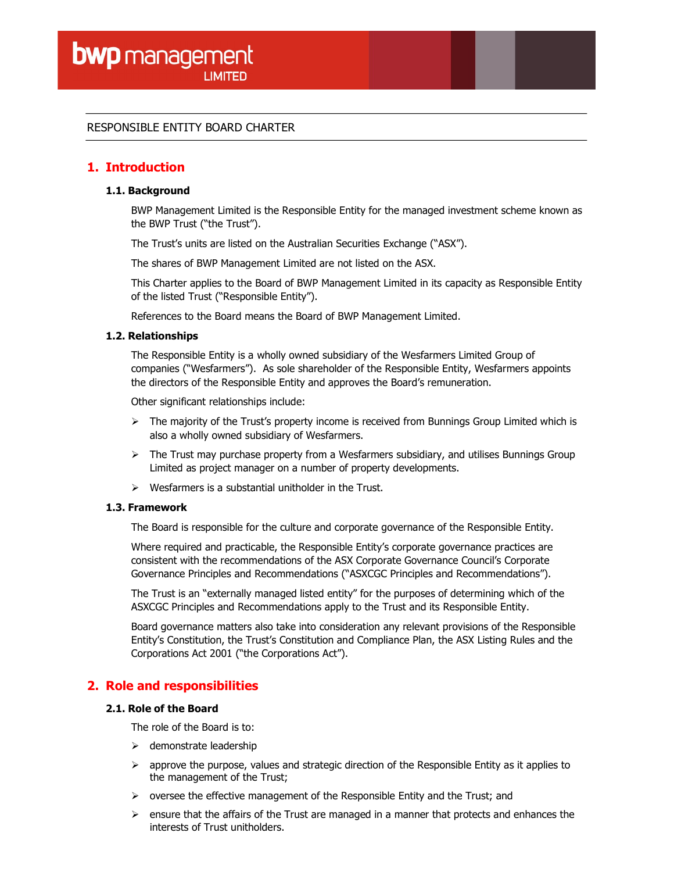## RESPONSIBLE ENTITY BOARD CHARTER

# 1. Introduction

### 1.1. Background

BWP Management Limited is the Responsible Entity for the managed investment scheme known as the BWP Trust ("the Trust").

The Trust's units are listed on the Australian Securities Exchange ("ASX").

The shares of BWP Management Limited are not listed on the ASX.

This Charter applies to the Board of BWP Management Limited in its capacity as Responsible Entity of the listed Trust ("Responsible Entity").

References to the Board means the Board of BWP Management Limited.

### 1.2. Relationships

The Responsible Entity is a wholly owned subsidiary of the Wesfarmers Limited Group of companies ("Wesfarmers"). As sole shareholder of the Responsible Entity, Wesfarmers appoints the directors of the Responsible Entity and approves the Board's remuneration.

Other significant relationships include:

- $\triangleright$  The majority of the Trust's property income is received from Bunnings Group Limited which is also a wholly owned subsidiary of Wesfarmers.
- $\triangleright$  The Trust may purchase property from a Wesfarmers subsidiary, and utilises Bunnings Group Limited as project manager on a number of property developments.
- Wesfarmers is a substantial unitholder in the Trust.

### 1.3. Framework

The Board is responsible for the culture and corporate governance of the Responsible Entity.

Where required and practicable, the Responsible Entity's corporate governance practices are consistent with the recommendations of the ASX Corporate Governance Council's Corporate Governance Principles and Recommendations ("ASXCGC Principles and Recommendations").

The Trust is an "externally managed listed entity" for the purposes of determining which of the ASXCGC Principles and Recommendations apply to the Trust and its Responsible Entity.

Board governance matters also take into consideration any relevant provisions of the Responsible Entity's Constitution, the Trust's Constitution and Compliance Plan, the ASX Listing Rules and the Corporations Act 2001 ("the Corporations Act").

## 2. Role and responsibilities

### 2.1. Role of the Board

The role of the Board is to:

- $\triangleright$  demonstrate leadership
- $\triangleright$  approve the purpose, values and strategic direction of the Responsible Entity as it applies to the management of the Trust;
- $\triangleright$  oversee the effective management of the Responsible Entity and the Trust; and
- $\triangleright$  ensure that the affairs of the Trust are managed in a manner that protects and enhances the interests of Trust unitholders.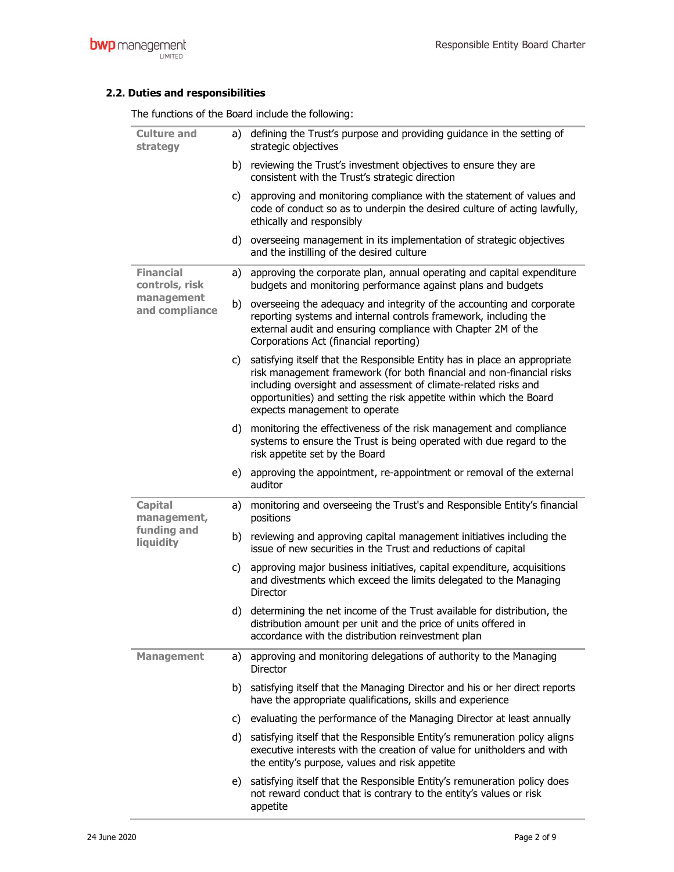# 2.2. Duties and responsibilities

The functions of the Board include the following:

| <b>Culture and</b><br>strategy                                     |    | a) defining the Trust's purpose and providing guidance in the setting of<br>strategic objectives                                                                                                                                                                                                                                 |
|--------------------------------------------------------------------|----|----------------------------------------------------------------------------------------------------------------------------------------------------------------------------------------------------------------------------------------------------------------------------------------------------------------------------------|
|                                                                    | b) | reviewing the Trust's investment objectives to ensure they are<br>consistent with the Trust's strategic direction                                                                                                                                                                                                                |
|                                                                    | C) | approving and monitoring compliance with the statement of values and<br>code of conduct so as to underpin the desired culture of acting lawfully,<br>ethically and responsibly                                                                                                                                                   |
|                                                                    |    | d) overseeing management in its implementation of strategic objectives<br>and the instilling of the desired culture                                                                                                                                                                                                              |
| <b>Financial</b><br>controls, risk<br>management<br>and compliance | a) | approving the corporate plan, annual operating and capital expenditure<br>budgets and monitoring performance against plans and budgets                                                                                                                                                                                           |
|                                                                    | b) | overseeing the adequacy and integrity of the accounting and corporate<br>reporting systems and internal controls framework, including the<br>external audit and ensuring compliance with Chapter 2M of the<br>Corporations Act (financial reporting)                                                                             |
|                                                                    |    | c) satisfying itself that the Responsible Entity has in place an appropriate<br>risk management framework (for both financial and non-financial risks<br>including oversight and assessment of climate-related risks and<br>opportunities) and setting the risk appetite within which the Board<br>expects management to operate |
|                                                                    | d) | monitoring the effectiveness of the risk management and compliance<br>systems to ensure the Trust is being operated with due regard to the<br>risk appetite set by the Board                                                                                                                                                     |
|                                                                    |    | e) approving the appointment, re-appointment or removal of the external<br>auditor                                                                                                                                                                                                                                               |
| <b>Capital</b><br>management,<br>funding and<br>liquidity          | a) | monitoring and overseeing the Trust's and Responsible Entity's financial<br>positions                                                                                                                                                                                                                                            |
|                                                                    |    | b) reviewing and approving capital management initiatives including the<br>issue of new securities in the Trust and reductions of capital                                                                                                                                                                                        |
|                                                                    | C) | approving major business initiatives, capital expenditure, acquisitions<br>and divestments which exceed the limits delegated to the Managing<br><b>Director</b>                                                                                                                                                                  |
|                                                                    |    | d) determining the net income of the Trust available for distribution, the<br>distribution amount per unit and the price of units offered in<br>accordance with the distribution reinvestment plan                                                                                                                               |
| <b>Management</b>                                                  | a) | approving and monitoring delegations of authority to the Managing<br><b>Director</b>                                                                                                                                                                                                                                             |
|                                                                    |    | b) satisfying itself that the Managing Director and his or her direct reports<br>have the appropriate qualifications, skills and experience                                                                                                                                                                                      |
|                                                                    | C) | evaluating the performance of the Managing Director at least annually                                                                                                                                                                                                                                                            |
|                                                                    |    | d) satisfying itself that the Responsible Entity's remuneration policy aligns<br>executive interests with the creation of value for unitholders and with<br>the entity's purpose, values and risk appetite                                                                                                                       |
|                                                                    | e) | satisfying itself that the Responsible Entity's remuneration policy does<br>not reward conduct that is contrary to the entity's values or risk<br>appetite                                                                                                                                                                       |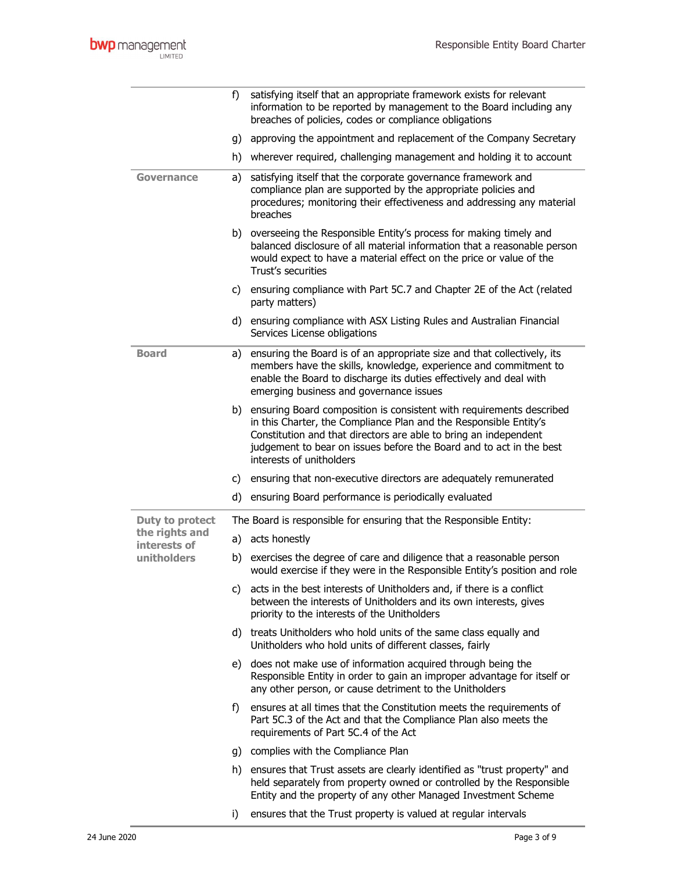|                                | f)  | satisfying itself that an appropriate framework exists for relevant<br>information to be reported by management to the Board including any<br>breaches of policies, codes or compliance obligations                                                                                                              |
|--------------------------------|-----|------------------------------------------------------------------------------------------------------------------------------------------------------------------------------------------------------------------------------------------------------------------------------------------------------------------|
|                                | g)  | approving the appointment and replacement of the Company Secretary                                                                                                                                                                                                                                               |
|                                | h)  | wherever required, challenging management and holding it to account                                                                                                                                                                                                                                              |
| <b>Governance</b>              | a)  | satisfying itself that the corporate governance framework and<br>compliance plan are supported by the appropriate policies and<br>procedures; monitoring their effectiveness and addressing any material<br>breaches                                                                                             |
|                                |     | b) overseeing the Responsible Entity's process for making timely and<br>balanced disclosure of all material information that a reasonable person<br>would expect to have a material effect on the price or value of the<br>Trust's securities                                                                    |
|                                | C)  | ensuring compliance with Part 5C.7 and Chapter 2E of the Act (related<br>party matters)                                                                                                                                                                                                                          |
|                                |     | d) ensuring compliance with ASX Listing Rules and Australian Financial<br>Services License obligations                                                                                                                                                                                                           |
| <b>Board</b>                   | a)  | ensuring the Board is of an appropriate size and that collectively, its<br>members have the skills, knowledge, experience and commitment to<br>enable the Board to discharge its duties effectively and deal with<br>emerging business and governance issues                                                     |
|                                | b)  | ensuring Board composition is consistent with requirements described<br>in this Charter, the Compliance Plan and the Responsible Entity's<br>Constitution and that directors are able to bring an independent<br>judgement to bear on issues before the Board and to act in the best<br>interests of unitholders |
|                                | C)  | ensuring that non-executive directors are adequately remunerated                                                                                                                                                                                                                                                 |
|                                | d)  | ensuring Board performance is periodically evaluated                                                                                                                                                                                                                                                             |
| Duty to protect                |     | The Board is responsible for ensuring that the Responsible Entity:                                                                                                                                                                                                                                               |
| the rights and<br>interests of |     | a) acts honestly                                                                                                                                                                                                                                                                                                 |
| unitholders                    | b)  | exercises the degree of care and diligence that a reasonable person<br>would exercise if they were in the Responsible Entity's position and role                                                                                                                                                                 |
|                                |     | c) acts in the best interests of Unitholders and, if there is a conflict<br>between the interests of Unitholders and its own interests, gives<br>priority to the interests of the Unitholders                                                                                                                    |
|                                |     | d) treats Unitholders who hold units of the same class equally and<br>Unitholders who hold units of different classes, fairly                                                                                                                                                                                    |
|                                |     | e) does not make use of information acquired through being the<br>Responsible Entity in order to gain an improper advantage for itself or<br>any other person, or cause detriment to the Unitholders                                                                                                             |
|                                | f)  | ensures at all times that the Constitution meets the requirements of<br>Part 5C.3 of the Act and that the Compliance Plan also meets the<br>requirements of Part 5C.4 of the Act                                                                                                                                 |
|                                | g)  | complies with the Compliance Plan                                                                                                                                                                                                                                                                                |
|                                | h)  | ensures that Trust assets are clearly identified as "trust property" and<br>held separately from property owned or controlled by the Responsible<br>Entity and the property of any other Managed Investment Scheme                                                                                               |
|                                | i). | ensures that the Trust property is valued at regular intervals                                                                                                                                                                                                                                                   |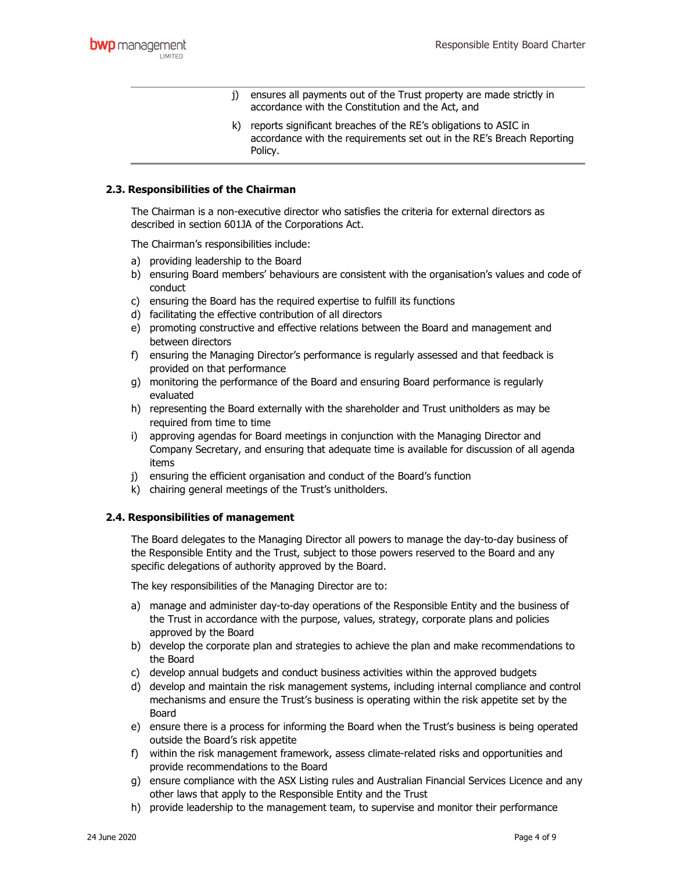- j) ensures all payments out of the Trust property are made strictly in accordance with the Constitution and the Act, and
- k) reports significant breaches of the RE's obligations to ASIC in accordance with the requirements set out in the RE's Breach Reporting Policy.

### 2.3. Responsibilities of the Chairman

The Chairman is a non-executive director who satisfies the criteria for external directors as described in section 601JA of the Corporations Act.

The Chairman's responsibilities include:

- a) providing leadership to the Board
- b) ensuring Board members' behaviours are consistent with the organisation's values and code of conduct
- c) ensuring the Board has the required expertise to fulfill its functions
- d) facilitating the effective contribution of all directors
- e) promoting constructive and effective relations between the Board and management and between directors
- f) ensuring the Managing Director's performance is regularly assessed and that feedback is provided on that performance
- g) monitoring the performance of the Board and ensuring Board performance is regularly evaluated
- h) representing the Board externally with the shareholder and Trust unitholders as may be required from time to time
- i) approving agendas for Board meetings in conjunction with the Managing Director and Company Secretary, and ensuring that adequate time is available for discussion of all agenda items
- j) ensuring the efficient organisation and conduct of the Board's function
- k) chairing general meetings of the Trust's unitholders.

### 2.4. Responsibilities of management

The Board delegates to the Managing Director all powers to manage the day-to-day business of the Responsible Entity and the Trust, subject to those powers reserved to the Board and any specific delegations of authority approved by the Board.

The key responsibilities of the Managing Director are to:

- a) manage and administer day-to-day operations of the Responsible Entity and the business of the Trust in accordance with the purpose, values, strategy, corporate plans and policies approved by the Board
- b) develop the corporate plan and strategies to achieve the plan and make recommendations to the Board
- c) develop annual budgets and conduct business activities within the approved budgets
- d) develop and maintain the risk management systems, including internal compliance and control mechanisms and ensure the Trust's business is operating within the risk appetite set by the Board
- e) ensure there is a process for informing the Board when the Trust's business is being operated outside the Board's risk appetite
- f) within the risk management framework, assess climate-related risks and opportunities and provide recommendations to the Board
- g) ensure compliance with the ASX Listing rules and Australian Financial Services Licence and any other laws that apply to the Responsible Entity and the Trust
- h) provide leadership to the management team, to supervise and monitor their performance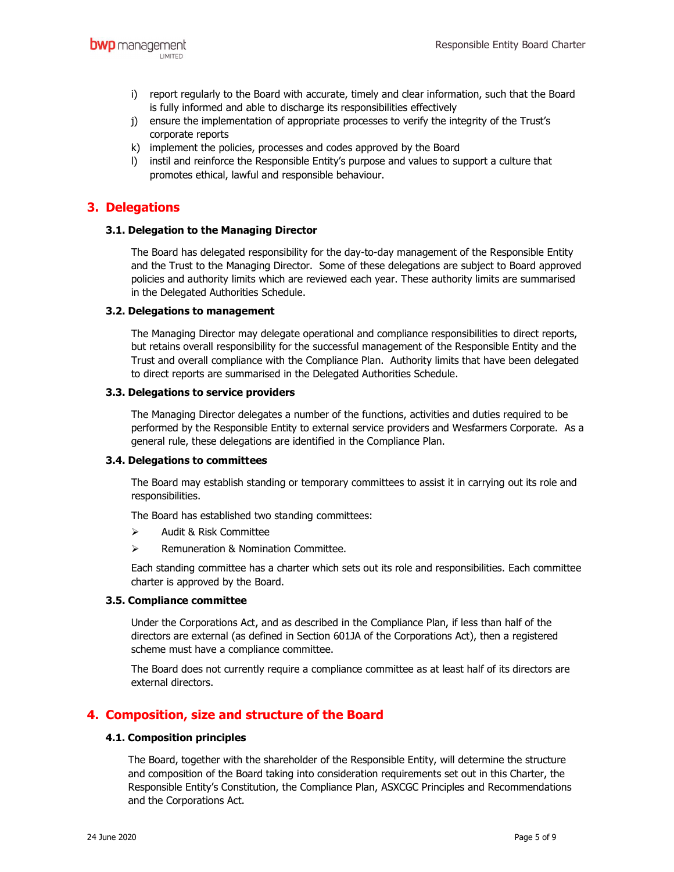- i) report regularly to the Board with accurate, timely and clear information, such that the Board is fully informed and able to discharge its responsibilities effectively
- j) ensure the implementation of appropriate processes to verify the integrity of the Trust's corporate reports
- k) implement the policies, processes and codes approved by the Board
- l) instil and reinforce the Responsible Entity's purpose and values to support a culture that promotes ethical, lawful and responsible behaviour.

# 3. Delegations

#### 3.1. Delegation to the Managing Director

The Board has delegated responsibility for the day-to-day management of the Responsible Entity and the Trust to the Managing Director. Some of these delegations are subject to Board approved policies and authority limits which are reviewed each year. These authority limits are summarised in the Delegated Authorities Schedule.

#### 3.2. Delegations to management

The Managing Director may delegate operational and compliance responsibilities to direct reports, but retains overall responsibility for the successful management of the Responsible Entity and the Trust and overall compliance with the Compliance Plan. Authority limits that have been delegated to direct reports are summarised in the Delegated Authorities Schedule.

#### 3.3. Delegations to service providers

The Managing Director delegates a number of the functions, activities and duties required to be performed by the Responsible Entity to external service providers and Wesfarmers Corporate. As a general rule, these delegations are identified in the Compliance Plan.

#### 3.4. Delegations to committees

The Board may establish standing or temporary committees to assist it in carrying out its role and responsibilities.

The Board has established two standing committees:

- $\triangleright$  Audit & Risk Committee
- $\triangleright$  Remuneration & Nomination Committee.

Each standing committee has a charter which sets out its role and responsibilities. Each committee charter is approved by the Board.

#### 3.5. Compliance committee

Under the Corporations Act, and as described in the Compliance Plan, if less than half of the directors are external (as defined in Section 601JA of the Corporations Act), then a registered scheme must have a compliance committee.

The Board does not currently require a compliance committee as at least half of its directors are external directors.

# 4. Composition, size and structure of the Board

#### 4.1. Composition principles

The Board, together with the shareholder of the Responsible Entity, will determine the structure and composition of the Board taking into consideration requirements set out in this Charter, the Responsible Entity's Constitution, the Compliance Plan, ASXCGC Principles and Recommendations and the Corporations Act.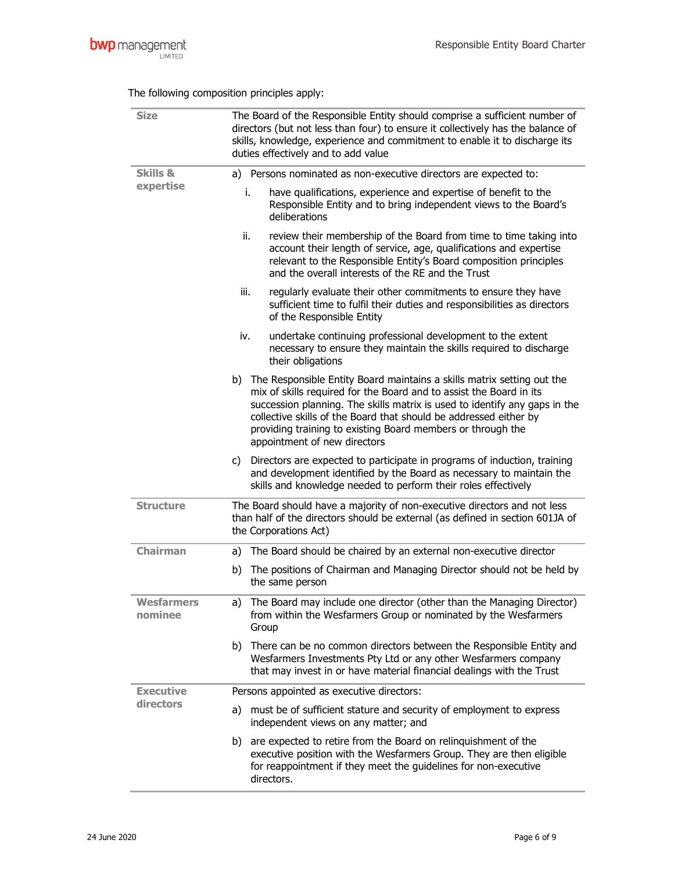| <b>Size</b>                      | The Board of the Responsible Entity should comprise a sufficient number of<br>directors (but not less than four) to ensure it collectively has the balance of<br>skills, knowledge, experience and commitment to enable it to discharge its<br>duties effectively and to add value                                                                                                                 |  |  |  |  |  |
|----------------------------------|----------------------------------------------------------------------------------------------------------------------------------------------------------------------------------------------------------------------------------------------------------------------------------------------------------------------------------------------------------------------------------------------------|--|--|--|--|--|
| <b>Skills &amp;</b><br>expertise | a) Persons nominated as non-executive directors are expected to:                                                                                                                                                                                                                                                                                                                                   |  |  |  |  |  |
|                                  | i.<br>have qualifications, experience and expertise of benefit to the<br>Responsible Entity and to bring independent views to the Board's<br>deliberations                                                                                                                                                                                                                                         |  |  |  |  |  |
|                                  | ii.<br>review their membership of the Board from time to time taking into<br>account their length of service, age, qualifications and expertise<br>relevant to the Responsible Entity's Board composition principles<br>and the overall interests of the RE and the Trust                                                                                                                          |  |  |  |  |  |
|                                  | regularly evaluate their other commitments to ensure they have<br>iii.<br>sufficient time to fulfil their duties and responsibilities as directors<br>of the Responsible Entity                                                                                                                                                                                                                    |  |  |  |  |  |
|                                  | iv.<br>undertake continuing professional development to the extent<br>necessary to ensure they maintain the skills required to discharge<br>their obligations                                                                                                                                                                                                                                      |  |  |  |  |  |
|                                  | b) The Responsible Entity Board maintains a skills matrix setting out the<br>mix of skills required for the Board and to assist the Board in its<br>succession planning. The skills matrix is used to identify any gaps in the<br>collective skills of the Board that should be addressed either by<br>providing training to existing Board members or through the<br>appointment of new directors |  |  |  |  |  |
|                                  | Directors are expected to participate in programs of induction, training<br>C)<br>and development identified by the Board as necessary to maintain the<br>skills and knowledge needed to perform their roles effectively                                                                                                                                                                           |  |  |  |  |  |
| <b>Structure</b>                 | The Board should have a majority of non-executive directors and not less<br>than half of the directors should be external (as defined in section 601JA of<br>the Corporations Act)                                                                                                                                                                                                                 |  |  |  |  |  |
| <b>Chairman</b>                  | a) The Board should be chaired by an external non-executive director                                                                                                                                                                                                                                                                                                                               |  |  |  |  |  |
|                                  | b) The positions of Chairman and Managing Director should not be held by<br>the same person                                                                                                                                                                                                                                                                                                        |  |  |  |  |  |
| <b>Wesfarmers</b><br>nominee     | The Board may include one director (other than the Managing Director)<br>a)<br>from within the Wesfarmers Group or nominated by the Wesfarmers<br>Group                                                                                                                                                                                                                                            |  |  |  |  |  |
|                                  | There can be no common directors between the Responsible Entity and<br>b)<br>Wesfarmers Investments Pty Ltd or any other Wesfarmers company<br>that may invest in or have material financial dealings with the Trust                                                                                                                                                                               |  |  |  |  |  |
| <b>Executive</b><br>directors    | Persons appointed as executive directors:                                                                                                                                                                                                                                                                                                                                                          |  |  |  |  |  |
|                                  | must be of sufficient stature and security of employment to express<br>a)<br>independent views on any matter; and                                                                                                                                                                                                                                                                                  |  |  |  |  |  |
|                                  | b) are expected to retire from the Board on relinguishment of the<br>executive position with the Wesfarmers Group. They are then eligible<br>for reappointment if they meet the guidelines for non-executive<br>directors.                                                                                                                                                                         |  |  |  |  |  |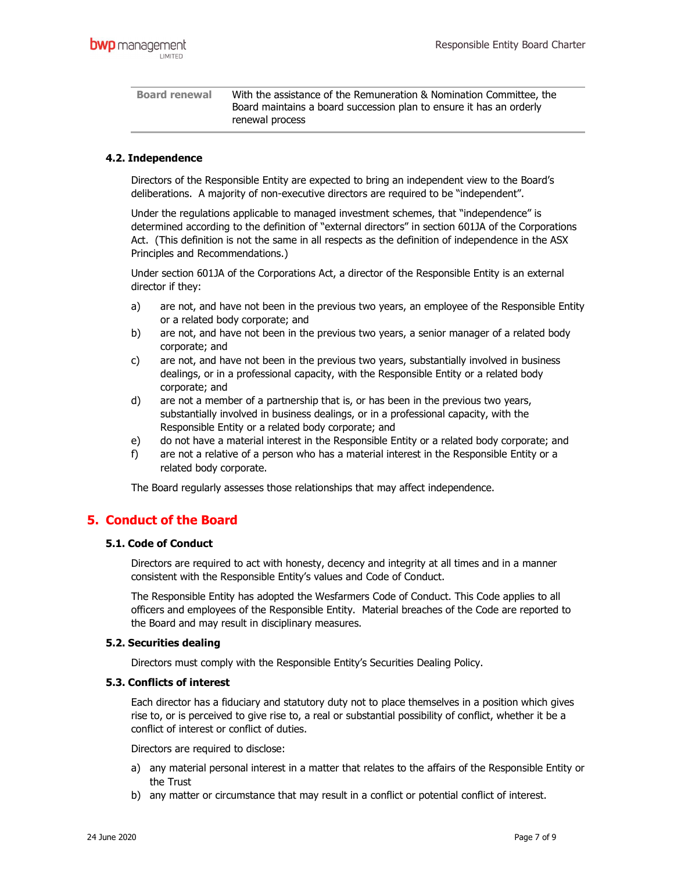Board renewal With the assistance of the Remuneration & Nomination Committee, the Board maintains a board succession plan to ensure it has an orderly renewal process

### 4.2. Independence

Directors of the Responsible Entity are expected to bring an independent view to the Board's deliberations. A majority of non-executive directors are required to be "independent".

Under the regulations applicable to managed investment schemes, that "independence" is determined according to the definition of "external directors" in section 601JA of the Corporations Act. (This definition is not the same in all respects as the definition of independence in the ASX Principles and Recommendations.)

Under section 601JA of the Corporations Act, a director of the Responsible Entity is an external director if they:

- a) are not, and have not been in the previous two years, an employee of the Responsible Entity or a related body corporate; and
- b) are not, and have not been in the previous two years, a senior manager of a related body corporate; and
- c) are not, and have not been in the previous two years, substantially involved in business dealings, or in a professional capacity, with the Responsible Entity or a related body corporate; and
- d) are not a member of a partnership that is, or has been in the previous two years, substantially involved in business dealings, or in a professional capacity, with the Responsible Entity or a related body corporate; and
- e) do not have a material interest in the Responsible Entity or a related body corporate; and
- f) are not a relative of a person who has a material interest in the Responsible Entity or a related body corporate.

The Board regularly assesses those relationships that may affect independence.

# 5. Conduct of the Board

### 5.1. Code of Conduct

Directors are required to act with honesty, decency and integrity at all times and in a manner consistent with the Responsible Entity's values and Code of Conduct.

The Responsible Entity has adopted the Wesfarmers Code of Conduct. This Code applies to all officers and employees of the Responsible Entity. Material breaches of the Code are reported to the Board and may result in disciplinary measures.

### 5.2. Securities dealing

Directors must comply with the Responsible Entity's Securities Dealing Policy.

### 5.3. Conflicts of interest

Each director has a fiduciary and statutory duty not to place themselves in a position which gives rise to, or is perceived to give rise to, a real or substantial possibility of conflict, whether it be a conflict of interest or conflict of duties.

Directors are required to disclose:

- a) any material personal interest in a matter that relates to the affairs of the Responsible Entity or the Trust
- b) any matter or circumstance that may result in a conflict or potential conflict of interest.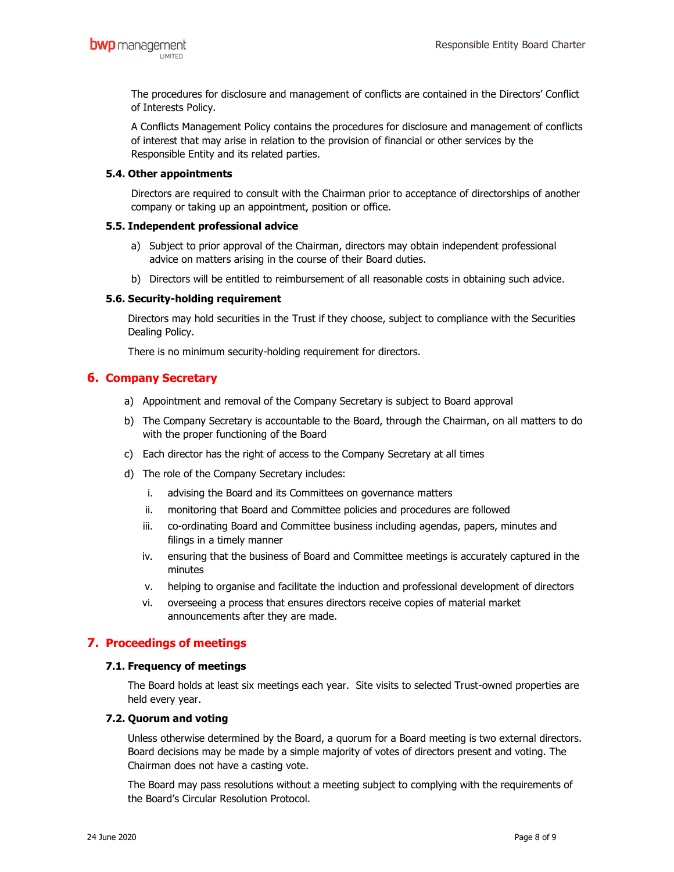The procedures for disclosure and management of conflicts are contained in the Directors' Conflict of Interests Policy.

A Conflicts Management Policy contains the procedures for disclosure and management of conflicts of interest that may arise in relation to the provision of financial or other services by the Responsible Entity and its related parties.

### 5.4. Other appointments

Directors are required to consult with the Chairman prior to acceptance of directorships of another company or taking up an appointment, position or office.

### 5.5. Independent professional advice

- a) Subject to prior approval of the Chairman, directors may obtain independent professional advice on matters arising in the course of their Board duties.
- b) Directors will be entitled to reimbursement of all reasonable costs in obtaining such advice.

## 5.6. Security-holding requirement

Directors may hold securities in the Trust if they choose, subject to compliance with the Securities Dealing Policy.

There is no minimum security-holding requirement for directors.

# 6. Company Secretary

- a) Appointment and removal of the Company Secretary is subject to Board approval
- b) The Company Secretary is accountable to the Board, through the Chairman, on all matters to do with the proper functioning of the Board
- c) Each director has the right of access to the Company Secretary at all times
- d) The role of the Company Secretary includes:
	- i. advising the Board and its Committees on governance matters
	- ii. monitoring that Board and Committee policies and procedures are followed
	- iii. co-ordinating Board and Committee business including agendas, papers, minutes and filings in a timely manner
	- iv. ensuring that the business of Board and Committee meetings is accurately captured in the minutes
	- v. helping to organise and facilitate the induction and professional development of directors
	- vi. overseeing a process that ensures directors receive copies of material market announcements after they are made.

# 7. Proceedings of meetings

### 7.1. Frequency of meetings

The Board holds at least six meetings each year. Site visits to selected Trust-owned properties are held every year.

### 7.2. Quorum and voting

Unless otherwise determined by the Board, a quorum for a Board meeting is two external directors. Board decisions may be made by a simple majority of votes of directors present and voting. The Chairman does not have a casting vote.

The Board may pass resolutions without a meeting subject to complying with the requirements of the Board's Circular Resolution Protocol.